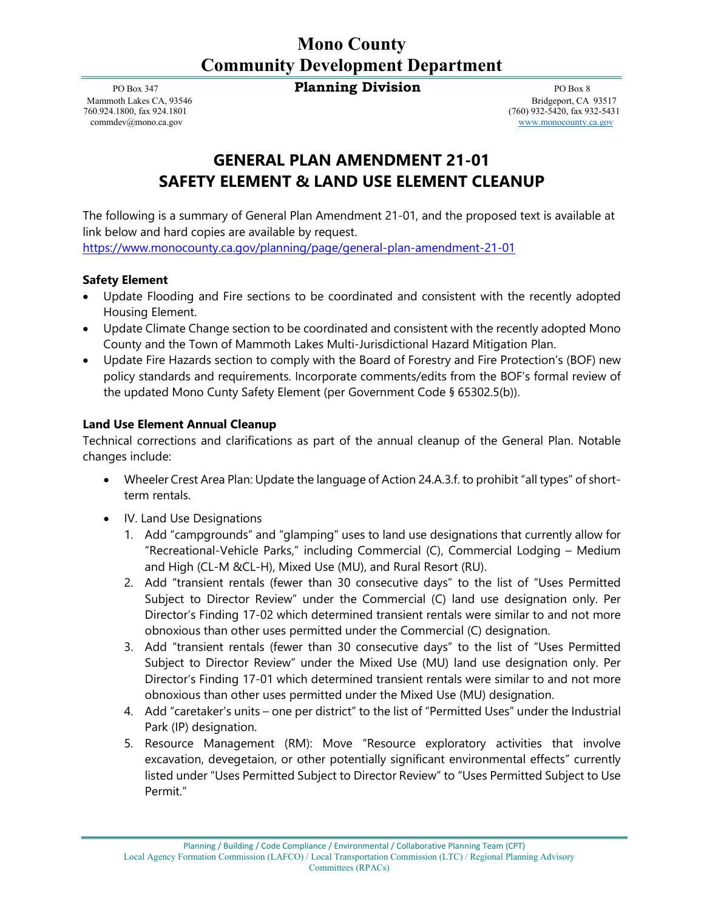## **Mono County Community Development Department**

PO Box 347 **Planning Division Planning Division PO Box 8** 

[commdev@mono.ca.gov](mailto:commdev@mono.ca.gov) [www.monocounty.ca.gov](http://www.monocounty.ca.gov/)

Mammoth Lakes CA, 93546 Bridgeport, CA 93517<br>
760.924.1800, fax 924.1801 (760) 932-5420, fax 924.1801 (760) 932-5431 (760) 932-5420, fax 932-5431

## **GENERAL PLAN AMENDMENT 21-01 SAFETY ELEMENT & LAND USE ELEMENT CLEANUP**

The following is a summary of General Plan Amendment 21-01, and the proposed text is available at link below and hard copies are available by request.

<https://www.monocounty.ca.gov/planning/page/general-plan-amendment-21-01>

## **Safety Element**

- Update Flooding and Fire sections to be coordinated and consistent with the recently adopted Housing Element.
- Update Climate Change section to be coordinated and consistent with the recently adopted Mono County and the Town of Mammoth Lakes Multi-Jurisdictional Hazard Mitigation Plan.
- Update Fire Hazards section to comply with the Board of Forestry and Fire Protection's (BOF) new policy standards and requirements. Incorporate comments/edits from the BOF's formal review of the updated Mono Cunty Safety Element (per Government Code § 65302.5(b)).

## **Land Use Element Annual Cleanup**

Technical corrections and clarifications as part of the annual cleanup of the General Plan. Notable changes include:

- Wheeler Crest Area Plan: Update the language of Action 24.A.3.f. to prohibit "all types" of shortterm rentals.
- IV. Land Use Designations
	- 1. Add "campgrounds" and "glamping" uses to land use designations that currently allow for "Recreational-Vehicle Parks," including Commercial (C), Commercial Lodging – Medium and High (CL-M &CL-H), Mixed Use (MU), and Rural Resort (RU).
	- 2. Add "transient rentals (fewer than 30 consecutive days" to the list of "Uses Permitted Subject to Director Review" under the Commercial (C) land use designation only. Per Director's Finding 17-02 which determined transient rentals were similar to and not more obnoxious than other uses permitted under the Commercial (C) designation.
	- 3. Add "transient rentals (fewer than 30 consecutive days" to the list of "Uses Permitted Subject to Director Review" under the Mixed Use (MU) land use designation only. Per Director's Finding 17-01 which determined transient rentals were similar to and not more obnoxious than other uses permitted under the Mixed Use (MU) designation.
	- 4. Add "caretaker's units one per district" to the list of "Permitted Uses" under the Industrial Park (IP) designation.
	- 5. Resource Management (RM): Move "Resource exploratory activities that involve excavation, devegetaion, or other potentially significant environmental effects" currently listed under "Uses Permitted Subject to Director Review" to "Uses Permitted Subject to Use Permit."